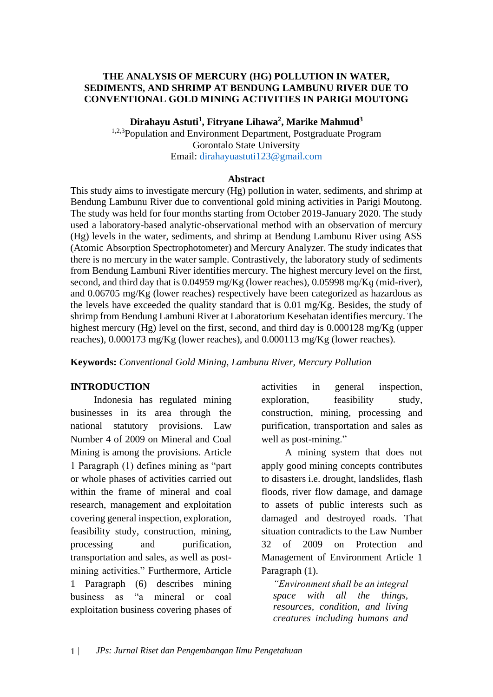### **THE ANALYSIS OF MERCURY (HG) POLLUTION IN WATER, SEDIMENTS, AND SHRIMP AT BENDUNG LAMBUNU RIVER DUE TO CONVENTIONAL GOLD MINING ACTIVITIES IN PARIGI MOUTONG**

**Dirahayu Astuti<sup>1</sup> , Fitryane Lihawa<sup>2</sup> , Marike Mahmud<sup>3</sup>**

<sup>1,2,3</sup>Population and Environment Department, Postgraduate Program Gorontalo State University Email: [dirahayuastuti123@gmail.com](mailto:dirahayuastuti123@gmail.com)

#### **Abstract**

This study aims to investigate mercury (Hg) pollution in water, sediments, and shrimp at Bendung Lambunu River due to conventional gold mining activities in Parigi Moutong. The study was held for four months starting from October 2019-January 2020. The study used a laboratory-based analytic-observational method with an observation of mercury (Hg) levels in the water, sediments, and shrimp at Bendung Lambunu River using ASS (Atomic Absorption Spectrophotometer) and Mercury Analyzer. The study indicates that there is no mercury in the water sample. Contrastively, the laboratory study of sediments from Bendung Lambuni River identifies mercury. The highest mercury level on the first, second, and third day that is 0.04959 mg/Kg (lower reaches), 0.05998 mɡ/Kɡ (mid-river), and 0.06705 mg/Kg (lower reaches) respectively have been categorized as hazardous as the levels have exceeded the quality standard that is 0.01 mg/Kg. Besides, the study of shrimp from Bendung Lambuni River at Laboratorium Kesehatan identifies mercury. The highest mercury (Hg) level on the first, second, and third day is 0.000128 mg/Kg (upper reaches), 0.000173 mg/Kg (lower reaches), and 0.000113 mg/Kg (lower reaches).

**Keywords:** *Conventional Gold Mining, Lambunu River, Mercury Pollution*

### **INTRODUCTION**

Indonesia has regulated mining businesses in its area through the national statutory provisions. Law Number 4 of 2009 on Mineral and Coal Mining is among the provisions. Article 1 Paragraph (1) defines mining as "part or whole phases of activities carried out within the frame of mineral and coal research, management and exploitation covering general inspection, exploration, feasibility study, construction, mining, processing and purification, transportation and sales, as well as postmining activities." Furthermore, Article 1 Paragraph (6) describes mining business as "a mineral or coal exploitation business covering phases of activities in general inspection, exploration, feasibility study, construction, mining, processing and purification, transportation and sales as well as post-mining."

A mining system that does not apply good mining concepts contributes to disasters i.e. drought, landslides, flash floods, river flow damage, and damage to assets of public interests such as damaged and destroyed roads. That situation contradicts to the Law Number 32 of 2009 on Protection and Management of Environment Article 1 Paragraph (1).

*"Environment shall be an integral space with all the things, resources, condition, and living creatures including humans and*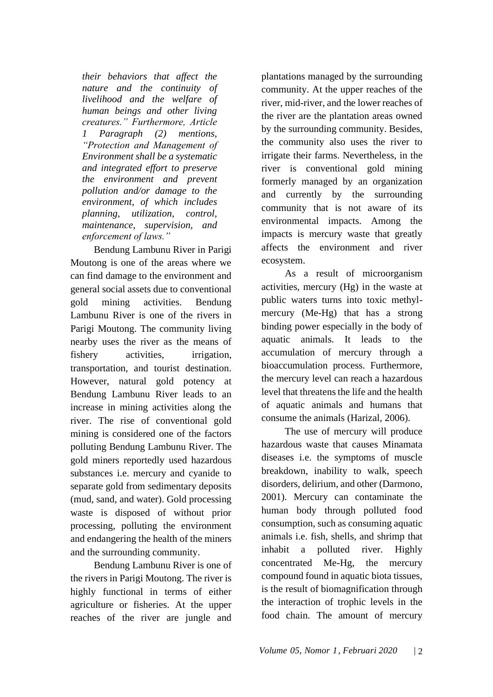*their behaviors that affect the nature and the continuity of livelihood and the welfare of human beings and other living creatures." Furthermore, Article 1 Paragraph (2) mentions, "Protection and Management of Environment shall be a systematic and integrated effort to preserve the environment and prevent pollution and/or damage to the environment, of which includes planning, utilization, control, maintenance, supervision, and enforcement of laws."*

Bendung Lambunu River in Parigi Moutong is one of the areas where we can find damage to the environment and general social assets due to conventional gold mining activities. Bendung Lambunu River is one of the rivers in Parigi Moutong. The community living nearby uses the river as the means of fishery activities, irrigation, transportation, and tourist destination. However, natural gold potency at Bendung Lambunu River leads to an increase in mining activities along the river. The rise of conventional gold mining is considered one of the factors polluting Bendung Lambunu River. The gold miners reportedly used hazardous substances i.e. mercury and cyanide to separate gold from sedimentary deposits (mud, sand, and water). Gold processing waste is disposed of without prior processing, polluting the environment and endangering the health of the miners and the surrounding community.

Bendung Lambunu River is one of the rivers in Parigi Moutong. The river is highly functional in terms of either agriculture or fisheries. At the upper reaches of the river are jungle and plantations managed by the surrounding community. At the upper reaches of the river, mid-river, and the lower reaches of the river are the plantation areas owned by the surrounding community. Besides, the community also uses the river to irrigate their farms. Nevertheless, in the river is conventional gold mining formerly managed by an organization and currently by the surrounding community that is not aware of its environmental impacts. Among the impacts is mercury waste that greatly affects the environment and river ecosystem.

As a result of microorganism activities, mercury (Hg) in the waste at public waters turns into toxic methylmercury (Me-Hg) that has a strong binding power especially in the body of aquatic animals. It leads to the accumulation of mercury through a bioaccumulation process. Furthermore, the mercury level can reach a hazardous level that threatens the life and the health of aquatic animals and humans that consume the animals (Harizal, 2006).

The use of mercury will produce hazardous waste that causes Minamata diseases i.e. the symptoms of muscle breakdown, inability to walk, speech disorders, delirium, and other (Darmono, 2001). Mercury can contaminate the human body through polluted food consumption, such as consuming aquatic animals i.e. fish, shells, and shrimp that inhabit a polluted river. Highly concentrated Me-Hg, the mercury compound found in aquatic biota tissues, is the result of biomagnification through the interaction of trophic levels in the food chain. The amount of mercury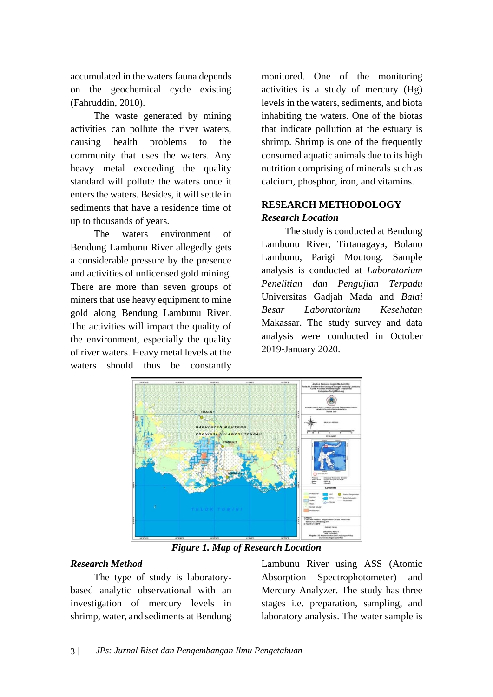accumulated in the waters fauna depends on the geochemical cycle existing (Fahruddin, 2010).

The waste generated by mining activities can pollute the river waters, causing health problems to the community that uses the waters. Any heavy metal exceeding the quality standard will pollute the waters once it enters the waters. Besides, it will settle in sediments that have a residence time of up to thousands of years.

The waters environment of Bendung Lambunu River allegedly gets a considerable pressure by the presence and activities of unlicensed gold mining. There are more than seven groups of miners that use heavy equipment to mine gold along Bendung Lambunu River. The activities will impact the quality of the environment, especially the quality of river waters. Heavy metal levels at the waters should thus be constantly

monitored. One of the monitoring activities is a study of mercury (Hg) levels in the waters, sediments, and biota inhabiting the waters. One of the biotas that indicate pollution at the estuary is shrimp. Shrimp is one of the frequently consumed aquatic animals due to its high nutrition comprising of minerals such as calcium, phosphor, iron, and vitamins.

# **RESEARCH METHODOLOGY** *Research Location*

The study is conducted at Bendung Lambunu River, Tirtanagaya, Bolano Lambunu, Parigi Moutong. Sample analysis is conducted at *Laboratorium Penelitian dan Pengujian Terpadu*  Universitas Gadjah Mada and *Balai Besar Laboratorium Kesehatan*  Makassar. The study survey and data analysis were conducted in October 2019-January 2020.



*Figure 1. Map of Research Location*

# *Research Method*

The type of study is laboratorybased analytic observational with an investigation of mercury levels in shrimp, water, and sediments at Bendung Lambunu River using ASS (Atomic Absorption Spectrophotometer) and Mercury Analyzer. The study has three stages i.e. preparation, sampling, and laboratory analysis. The water sample is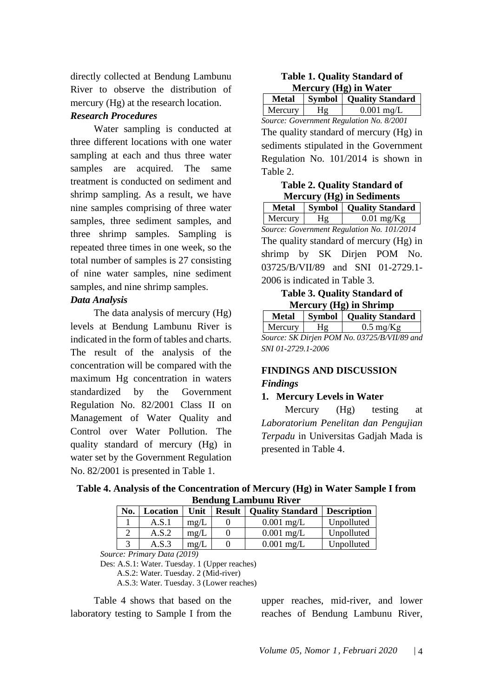directly collected at Bendung Lambunu River to observe the distribution of mercury (Hg) at the research location.

### *Research Procedures*

Water sampling is conducted at three different locations with one water sampling at each and thus three water samples are acquired. The same treatment is conducted on sediment and shrimp sampling. As a result, we have nine samples comprising of three water samples, three sediment samples, and three shrimp samples. Sampling is repeated three times in one week, so the total number of samples is 27 consisting of nine water samples, nine sediment samples, and nine shrimp samples.

### *Data Analysis*

The data analysis of mercury (Hg) levels at Bendung Lambunu River is indicated in the form of tables and charts. The result of the analysis of the concentration will be compared with the maximum Hg concentration in waters standardized by the Government Regulation No. 82/2001 Class II on Management of Water Quality and Control over Water Pollution. The quality standard of mercury (Hg) in water set by the Government Regulation No. 82/2001 is presented in Table 1.

| <b>Table 1. Quality Standard of</b> |
|-------------------------------------|
| Mercury (Hg) in Water               |

| <b>Metal</b>                             |    | <b>Symbol</b>   Quality Standard |  |  |  |  |  |
|------------------------------------------|----|----------------------------------|--|--|--|--|--|
| Mercury                                  | Hg | $0.001$ mg/L                     |  |  |  |  |  |
| Source: Government Regulation No. 8/2001 |    |                                  |  |  |  |  |  |

The quality standard of mercury (Hg) in sediments stipulated in the Government Regulation No. 101/2014 is shown in Table 2.

## **Table 2. Quality Standard of Mercury (Hg) in Sediments**

**Metal Symbol Quality Standard** Mercury  $Hg = 0.01$  mg/Kg *Source: Government Regulation No. 101/2014* The quality standard of mercury (Hg) in shrimp by SK Dirjen POM No. 03725/B/VII/89 and SNI 01-2729.1- 2006 is indicated in Table 3.

## **Table 3. Quality Standard of Mercury (Hg) in Shrimp**

|                                              | <b>Metal</b>       |    | <b>Symbol</b>   Quality Standard |  |  |  |  |  |  |
|----------------------------------------------|--------------------|----|----------------------------------|--|--|--|--|--|--|
|                                              | Mercury            | Hg | $0.5 \text{ mg/Kg}$              |  |  |  |  |  |  |
| Source: SK Dirjen POM No. 03725/B/VII/89 and |                    |    |                                  |  |  |  |  |  |  |
|                                              | SNI 01-2729.1-2006 |    |                                  |  |  |  |  |  |  |

# **FINDINGS AND DISCUSSION** *Findings*

# **1. Mercury Levels in Water**

Mercury (Hg) testing at *Laboratorium Penelitan dan Pengujian Terpadu* in Universitas Gadjah Mada is presented in Table 4.

| Table 4. Analysis of the Concentration of Mercury (Hg) in Water Sample I from |  |  |  |  |  |  |  |         |  |  |  |  |  |
|-------------------------------------------------------------------------------|--|--|--|--|--|--|--|---------|--|--|--|--|--|
| <b>Bendung Lambunu River</b>                                                  |  |  |  |  |  |  |  |         |  |  |  |  |  |
|                                                                               |  |  |  |  |  |  |  | _______ |  |  |  |  |  |

| No. | Location | Unit         | <b>Result</b> | <b>Quality Standard   Description</b> |            |
|-----|----------|--------------|---------------|---------------------------------------|------------|
|     | A.S.1    | $m\Omega/L$  |               | $0.001$ mg/L                          | Unpolluted |
|     | A.S.2    | $m\Omega/L$  |               | $0.001$ mg/L                          | Unpolluted |
|     | A.S.3    | $m\varrho/L$ |               | $0.001$ mg/L                          | Unpolluted |

*Source: Primary Data (2019)*

Des: A.S.1: Water. Tuesday. 1 (Upper reaches)

A.S.2: Water. Tuesday. 2 (Mid-river)

A.S.3: Water. Tuesday. 3 (Lower reaches)

Table 4 shows that based on the laboratory testing to Sample I from the upper reaches, mid-river, and lower reaches of Bendung Lambunu River,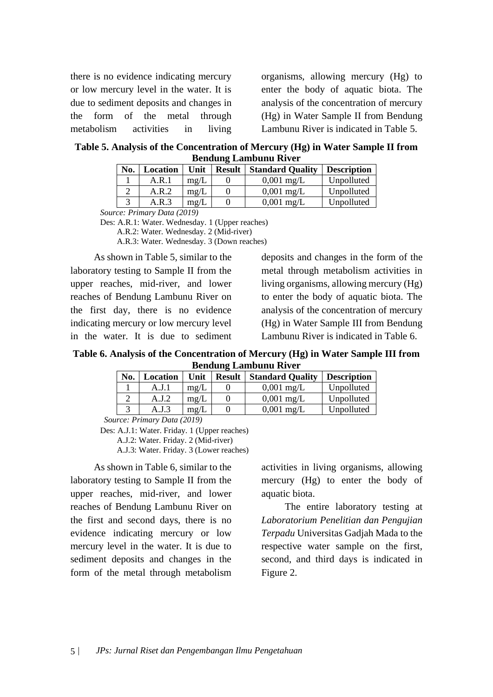there is no evidence indicating mercury or low mercury level in the water. It is due to sediment deposits and changes in the form of the metal through metabolism activities in living organisms, allowing mercury (Hg) to enter the body of aquatic biota. The analysis of the concentration of mercury (Hg) in Water Sample II from Bendung Lambunu River is indicated in Table 5.

**Table 5. Analysis of the Concentration of Mercury (Hg) in Water Sample II from Bendung Lambunu River**

| No.            | Location        | Unit         | <b>Result</b> | <b>Standard Quality</b> | <b>Description</b> |  |  |  |  |
|----------------|-----------------|--------------|---------------|-------------------------|--------------------|--|--|--|--|
|                | A.R.1           | mg/L         |               | $0,001 \text{ mg/L}$    | Unpolluted         |  |  |  |  |
|                | A.R.2           | mg/L         |               | $0,001 \text{ mg/L}$    | Unpolluted         |  |  |  |  |
|                | A.R.3           | $m\varrho/L$ |               | $0,001 \text{ mg/L}$    | Unpolluted         |  |  |  |  |
| $\mathbf{r}$ . | $P_1$ $(0.010)$ |              |               |                         |                    |  |  |  |  |

*Source: Primary Data (2019)*

As shown in Table 5, similar to the laboratory testing to Sample II from the upper reaches, mid-river, and lower reaches of Bendung Lambunu River on the first day, there is no evidence indicating mercury or low mercury level in the water. It is due to sediment

deposits and changes in the form of the metal through metabolism activities in living organisms, allowing mercury (Hg) to enter the body of aquatic biota. The analysis of the concentration of mercury (Hg) in Water Sample III from Bendung Lambunu River is indicated in Table 6.

**Table 6. Analysis of the Concentration of Mercury (Hg) in Water Sample III from Bendung Lambunu River**

| No. | Location | Unit | <b>Result</b> | <b>Standard Quality</b> | <b>Description</b> |
|-----|----------|------|---------------|-------------------------|--------------------|
|     | A.J. 1   | mg/L |               | $0,001 \text{ mg/L}$    | Unpolluted         |
|     | A.J.2    | mg/L |               | $0,001 \text{ mg/L}$    | Unpolluted         |
|     | A.J.3    | mg/L |               | $0,001 \text{ mg/L}$    | Unpolluted         |

*Source: Primary Data (2019)*

Des: A.J.1: Water. Friday. 1 (Upper reaches)

A.J.2: Water. Friday. 2 (Mid-river)

A.J.3: Water. Friday. 3 (Lower reaches)

As shown in Table 6, similar to the laboratory testing to Sample II from the upper reaches, mid-river, and lower reaches of Bendung Lambunu River on the first and second days, there is no evidence indicating mercury or low mercury level in the water. It is due to sediment deposits and changes in the form of the metal through metabolism

activities in living organisms, allowing mercury (Hg) to enter the body of aquatic biota.

The entire laboratory testing at *Laboratorium Penelitian dan Pengujian Terpadu* Universitas Gadjah Mada to the respective water sample on the first, second, and third days is indicated in Figure 2.

Des: A.R.1: Water. Wednesday. 1 (Upper reaches) A.R.2: Water. Wednesday. 2 (Mid-river) A.R.3: Water. Wednesday. 3 (Down reaches)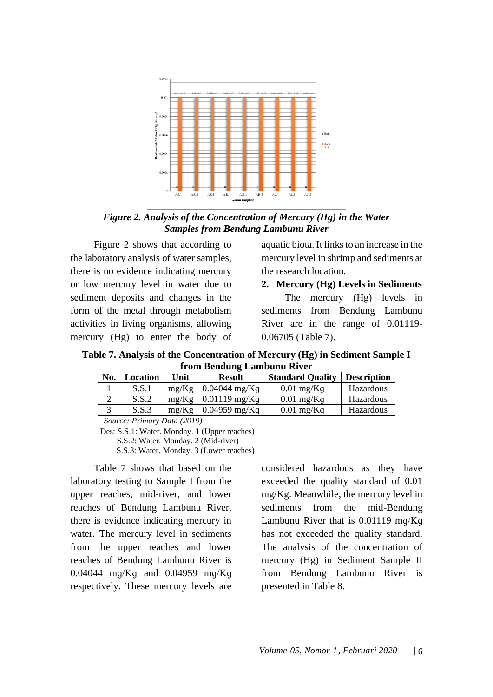

*Figure 2. Analysis of the Concentration of Mercury (Hg) in the Water Samples from Bendung Lambunu River*

Figure 2 shows that according to the laboratory analysis of water samples, there is no evidence indicating mercury or low mercury level in water due to sediment deposits and changes in the form of the metal through metabolism activities in living organisms, allowing mercury (Hg) to enter the body of aquatic biota. It links to an increase in the mercury level in shrimp and sediments at the research location.

**2. Mercury (Hg) Levels in Sediments**

The mercury (Hg) levels in sediments from Bendung Lambunu River are in the range of 0.01119- 0.06705 (Table 7).

**Table 7. Analysis of the Concentration of Mercury (Hg) in Sediment Sample I from Bendung Lambunu River**

| No. | Location | Unit                | <b>Result</b>              | <b>Standard Quality</b> | <b>Description</b> |
|-----|----------|---------------------|----------------------------|-------------------------|--------------------|
|     | S.S.1    | $m\varrho/K\varrho$ | $0.04044$ mg/Kq            | $0.01$ mg/Kq            | Hazardous          |
|     | S.S.2    | $m\varrho/K\varrho$ | $0.01119$ mg/Kq            | $0.01$ mg/Kq            | Hazardous          |
|     | S.S.3    | $m\varrho/K\varrho$ | $0.04959 \,\mathrm{mg/Kg}$ | $0.01$ mg/Kq            | Hazardous          |
|     |          |                     |                            |                         |                    |

*Source: Primary Data (2019)*

Des: S.S.1: Water. Monday. 1 (Upper reaches)

S.S.2: Water. Monday. 2 (Mid-river)

S.S.3: Water. Monday. 3 (Lower reaches)

Table 7 shows that based on the laboratory testing to Sample I from the upper reaches, mid-river, and lower reaches of Bendung Lambunu River, there is evidence indicating mercury in water. The mercury level in sediments from the upper reaches and lower reaches of Bendung Lambunu River is 0.04044 mɡ/Kɡ and 0.04959 mɡ/Kɡ respectively. These mercury levels are considered hazardous as they have exceeded the quality standard of 0.01 mg/Kg. Meanwhile, the mercury level in sediments from the mid-Bendung Lambunu River that is 0.01119 mɡ/Kɡ has not exceeded the quality standard. The analysis of the concentration of mercury (Hg) in Sediment Sample II from Bendung Lambunu River is presented in Table 8.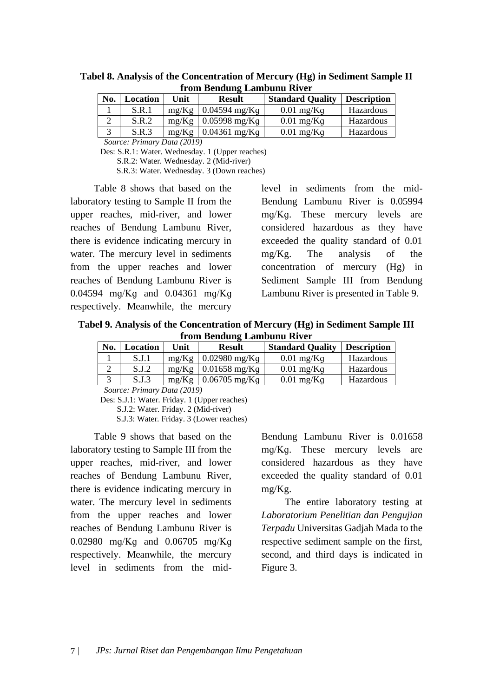| No. | Location | Unit | <b>Result</b>                      | <b>Standard Quality</b> | <b>Description</b> |  |  |  |  |  |
|-----|----------|------|------------------------------------|-------------------------|--------------------|--|--|--|--|--|
|     | S.R.1    |      | $mg/Kg \mid 0.04594 \text{ mg/Kg}$ | $0.01$ mg/Kq            | Hazardous          |  |  |  |  |  |
|     | S.R.2    |      | $mg/Kg \mid 0.05998 \text{ mg/Kg}$ | $0.01$ mg/Kq            | Hazardous          |  |  |  |  |  |
|     | S.R.3    |      | $mg/Kg$   0.04361 mg/Kq            | $0.01$ mg/Kq            | Hazardous          |  |  |  |  |  |

**Tabel 8. Analysis of the Concentration of Mercury (Hg) in Sediment Sample II from Bendung Lambunu River**

*Source: Primary Data (2019)*

Des: S.R.1: Water. Wednesday. 1 (Upper reaches)

S.R.2: Water. Wednesday. 2 (Mid-river)

S.R.3: Water. Wednesday. 3 (Down reaches)

Table 8 shows that based on the laboratory testing to Sample II from the upper reaches, mid-river, and lower reaches of Bendung Lambunu River, there is evidence indicating mercury in water. The mercury level in sediments from the upper reaches and lower reaches of Bendung Lambunu River is 0.04594 mɡ/Kɡ and 0.04361 mɡ/Kɡ respectively. Meanwhile, the mercury

level in sediments from the mid-Bendung Lambunu River is 0.05994 mɡ/Kɡ. These mercury levels are considered hazardous as they have exceeded the quality standard of 0.01 mg/Kg. The analysis of the concentration of mercury (Hg) in Sediment Sample III from Bendung Lambunu River is presented in Table 9.

**Tabel 9. Analysis of the Concentration of Mercury (Hg) in Sediment Sample III from Bendung Lambunu River**

| No. | Location | Unit  | <b>Result</b>           | <b>Standard Quality</b> | <b>Description</b> |
|-----|----------|-------|-------------------------|-------------------------|--------------------|
|     | S.J.1    | mg/Kg | $0.02980$ mg/Kq         | $0.01$ mg/Kq            | Hazardous          |
|     | S.I.2    |       | $mg/Kg$   0.01658 mg/Kq | $0.01$ mg/Kq            | Hazardous          |
|     | S.J.3    | mg/Kg | $0.06705$ mg/Kq         | $0.01$ mg/Kq            | Hazardous          |

*Source: Primary Data (2019)*

Des: S.J.1: Water. Friday. 1 (Upper reaches)

S.J.2: Water. Friday. 2 (Mid-river)

S.J.3: Water. Friday. 3 (Lower reaches)

Table 9 shows that based on the laboratory testing to Sample III from the upper reaches, mid-river, and lower reaches of Bendung Lambunu River, there is evidence indicating mercury in water. The mercury level in sediments from the upper reaches and lower reaches of Bendung Lambunu River is 0.02980 mɡ/Kɡ and 0.06705 mɡ/Kɡ respectively. Meanwhile, the mercury level in sediments from the midBendung Lambunu River is 0.01658 mɡ/Kɡ. These mercury levels are considered hazardous as they have exceeded the quality standard of 0.01 mg/Kg.

The entire laboratory testing at *Laboratorium Penelitian dan Pengujian Terpadu* Universitas Gadjah Mada to the respective sediment sample on the first, second, and third days is indicated in Figure 3.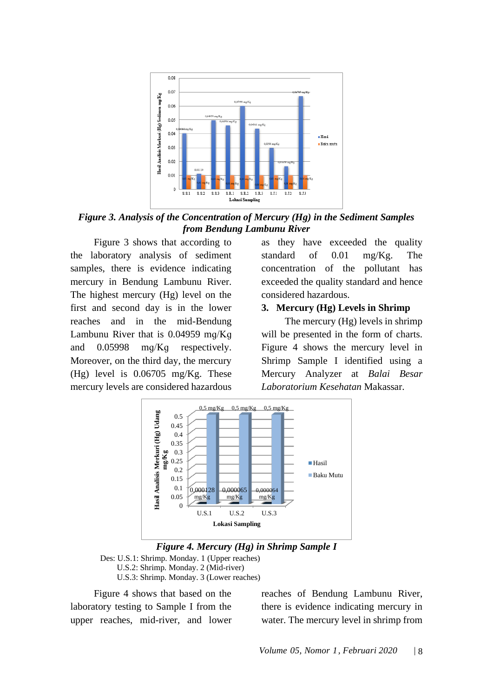

*Figure 3. Analysis of the Concentration of Mercury (Hg) in the Sediment Samples from Bendung Lambunu River*

Figure 3 shows that according to the laboratory analysis of sediment samples, there is evidence indicating mercury in Bendung Lambunu River. The highest mercury (Hg) level on the first and second day is in the lower reaches and in the mid-Bendung Lambunu River that is 0.04959 mɡ/Kɡ and 0.05998 mɡ/Kɡ respectively. Moreover, on the third day, the mercury (Hg) level is 0.06705 mg/Kg. These mercury levels are considered hazardous

as they have exceeded the quality standard of 0.01 mg/Kg. The concentration of the pollutant has exceeded the quality standard and hence considered hazardous.

### **3. Mercury (Hg) Levels in Shrimp**

The mercury (Hg) levels in shrimp will be presented in the form of charts. Figure 4 shows the mercury level in Shrimp Sample I identified using a Mercury Analyzer at *Balai Besar Laboratorium Kesehatan* Makassar.





Des: U.S.1: Shrimp. Monday. 1 (Upper reaches) U.S.2: Shrimp. Monday. 2 (Mid-river) U.S.3: Shrimp. Monday. 3 (Lower reaches)

Figure 4 shows that based on the laboratory testing to Sample I from the upper reaches, mid-river, and lower reaches of Bendung Lambunu River, there is evidence indicating mercury in water. The mercury level in shrimp from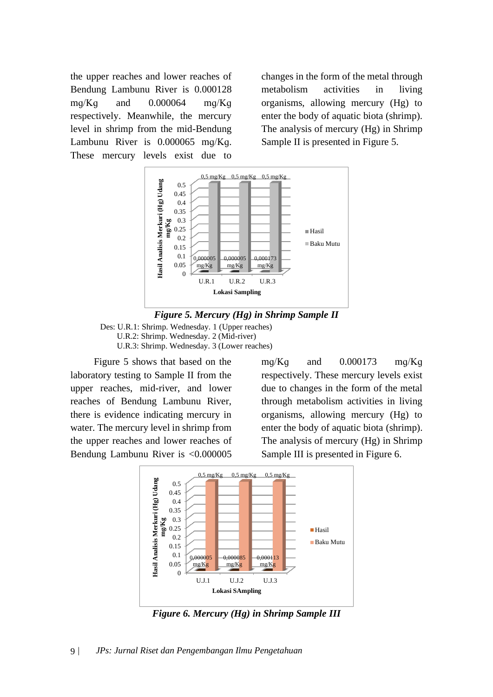the upper reaches and lower reaches of Bendung Lambunu River is 0.000128 mɡ/Kɡ and 0.000064 mɡ/Kɡ respectively. Meanwhile, the mercury level in shrimp from the mid-Bendung Lambunu River is 0.000065 mɡ/Kɡ. These mercury levels exist due to

changes in the form of the metal through metabolism activities in living organisms, allowing mercury (Hg) to enter the body of aquatic biota (shrimp). The analysis of mercury (Hg) in Shrimp Sample II is presented in Figure 5.





Des: U.R.1: Shrimp. Wednesday. 1 (Upper reaches) U.R.2: Shrimp. Wednesday. 2 (Mid-river) U.R.3: Shrimp. Wednesday. 3 (Lower reaches)

Figure 5 shows that based on the laboratory testing to Sample II from the upper reaches, mid-river, and lower reaches of Bendung Lambunu River, there is evidence indicating mercury in water. The mercury level in shrimp from the upper reaches and lower reaches of Bendung Lambunu River is <0.000005

mg/Kg and  $0.000173$  mg/Kg respectively. These mercury levels exist due to changes in the form of the metal through metabolism activities in living organisms, allowing mercury (Hg) to enter the body of aquatic biota (shrimp). The analysis of mercury (Hg) in Shrimp Sample III is presented in Figure 6.



*Figure 6. Mercury (Hg) in Shrimp Sample III*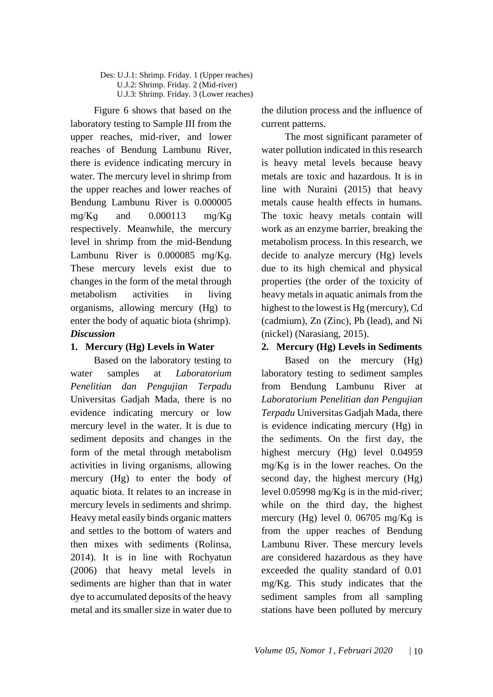Des: U.J.1: Shrimp. Friday. 1 (Upper reaches) U.J.2: Shrimp. Friday. 2 (Mid-river) U.J.3: Shrimp. Friday. 3 (Lower reaches)

Figure 6 shows that based on the laboratory testing to Sample III from the upper reaches, mid-river, and lower reaches of Bendung Lambunu River, there is evidence indicating mercury in water. The mercury level in shrimp from the upper reaches and lower reaches of Bendung Lambunu River is 0.000005  $mq/Kq$  and  $0.000113$  mg/Kg respectively. Meanwhile, the mercury level in shrimp from the mid-Bendung Lambunu River is 0.000085 mɡ/Kɡ. These mercury levels exist due to changes in the form of the metal through metabolism activities in living organisms, allowing mercury (Hg) to enter the body of aquatic biota (shrimp). *Discussion*

### **1. Mercury (Hg) Levels in Water**

Based on the laboratory testing to water samples at *Laboratorium Penelitian dan Pengujian Terpadu*  Universitas Gadjah Mada, there is no evidence indicating mercury or low mercury level in the water. It is due to sediment deposits and changes in the form of the metal through metabolism activities in living organisms, allowing mercury (Hg) to enter the body of aquatic biota. It relates to an increase in mercury levels in sediments and shrimp. Heavy metal easily binds organic matters and settles to the bottom of waters and then mixes with sediments (Rolinsa, 2014). It is in line with Rochyatun (2006) that heavy metal levels in sediments are higher than that in water dye to accumulated deposits of the heavy metal and its smaller size in water due to the dilution process and the influence of current patterns.

The most significant parameter of water pollution indicated in this research is heavy metal levels because heavy metals are toxic and hazardous. It is in line with Nuraini (2015) that heavy metals cause health effects in humans. The toxic heavy metals contain will work as an enzyme barrier, breaking the metabolism process. In this research, we decide to analyze mercury (Hg) levels due to its high chemical and physical properties (the order of the toxicity of heavy metals in aquatic animals from the highest to the lowest is Hg (mercury), Cd (cadmium), Zn (Zinc), Pb (lead), and Ni (nickel) (Narasiang, 2015).

### **2. Mercury (Hg) Levels in Sediments**

Based on the mercury (Hg) laboratory testing to sediment samples from Bendung Lambunu River at *Laboratorium Penelitian dan Pengujian Terpadu* Universitas Gadjah Mada, there is evidence indicating mercury (Hg) in the sediments. On the first day, the highest mercury (Hg) level 0.04959 mɡ/Kɡ is in the lower reaches. On the second day, the highest mercury (Hg) level 0.05998 mɡ/Kɡ is in the mid-river; while on the third day, the highest mercury (Hg) level 0. 06705 mq/Kq is from the upper reaches of Bendung Lambunu River. These mercury levels are considered hazardous as they have exceeded the quality standard of 0.01 mg/Kg. This study indicates that the sediment samples from all sampling stations have been polluted by mercury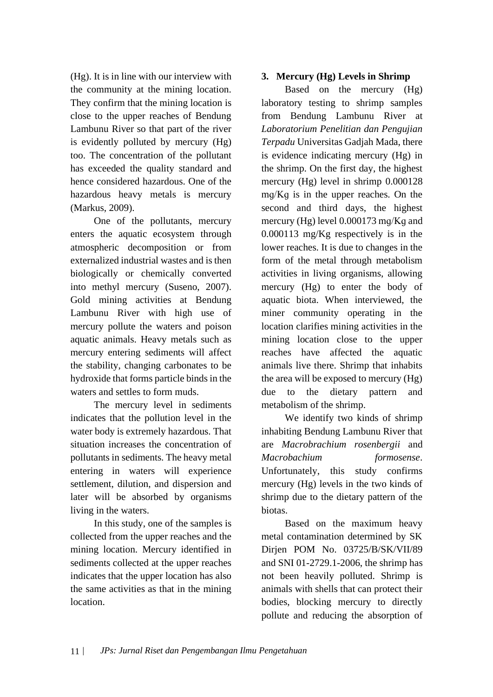(Hg). It is in line with our interview with the community at the mining location. They confirm that the mining location is close to the upper reaches of Bendung Lambunu River so that part of the river is evidently polluted by mercury (Hg) too. The concentration of the pollutant has exceeded the quality standard and hence considered hazardous. One of the hazardous heavy metals is mercury (Markus, 2009).

One of the pollutants, mercury enters the aquatic ecosystem through atmospheric decomposition or from externalized industrial wastes and is then biologically or chemically converted into methyl mercury (Suseno, 2007). Gold mining activities at Bendung Lambunu River with high use of mercury pollute the waters and poison aquatic animals. Heavy metals such as mercury entering sediments will affect the stability, changing carbonates to be hydroxide that forms particle binds in the waters and settles to form muds.

The mercury level in sediments indicates that the pollution level in the water body is extremely hazardous. That situation increases the concentration of pollutants in sediments. The heavy metal entering in waters will experience settlement, dilution, and dispersion and later will be absorbed by organisms living in the waters.

In this study, one of the samples is collected from the upper reaches and the mining location. Mercury identified in sediments collected at the upper reaches indicates that the upper location has also the same activities as that in the mining location.

## **3. Mercury (Hg) Levels in Shrimp**

Based on the mercury (Hg) laboratory testing to shrimp samples from Bendung Lambunu River at *Laboratorium Penelitian dan Pengujian Terpadu* Universitas Gadjah Mada, there is evidence indicating mercury (Hg) in the shrimp. On the first day, the highest mercury (Hg) level in shrimp 0.000128 mɡ/Kɡ is in the upper reaches. On the second and third days, the highest mercury (Hg) level 0.000173 mq/Kq and 0.000113 mg/Kg respectively is in the lower reaches. It is due to changes in the form of the metal through metabolism activities in living organisms, allowing mercury (Hg) to enter the body of aquatic biota. When interviewed, the miner community operating in the location clarifies mining activities in the mining location close to the upper reaches have affected the aquatic animals live there. Shrimp that inhabits the area will be exposed to mercury (Hg) due to the dietary pattern and metabolism of the shrimp.

We identify two kinds of shrimp inhabiting Bendung Lambunu River that are *Macrobrachium rosenbergii* and *Macrobachium formosense*. Unfortunately, this study confirms mercury (Hg) levels in the two kinds of shrimp due to the dietary pattern of the biotas.

Based on the maximum heavy metal contamination determined by SK Dirjen POM No. 03725/B/SK/VII/89 and SNI 01-2729.1-2006, the shrimp has not been heavily polluted. Shrimp is animals with shells that can protect their bodies, blocking mercury to directly pollute and reducing the absorption of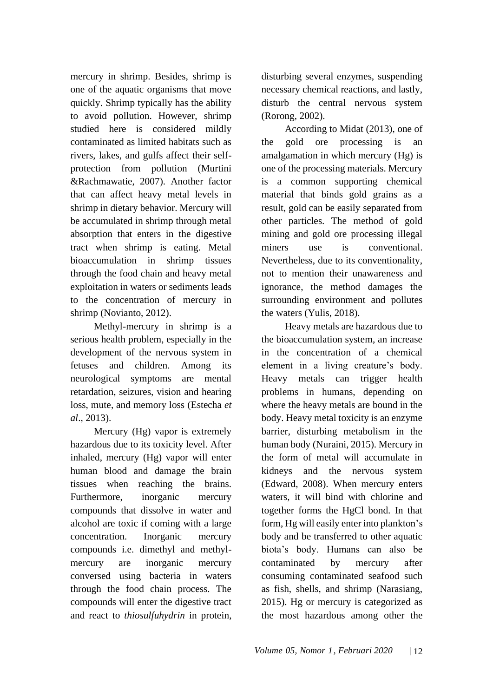mercury in shrimp. Besides, shrimp is one of the aquatic organisms that move quickly. Shrimp typically has the ability to avoid pollution. However, shrimp studied here is considered mildly contaminated as limited habitats such as rivers, lakes, and gulfs affect their selfprotection from pollution (Murtini &Rachmawatie, 2007). Another factor that can affect heavy metal levels in shrimp in dietary behavior. Mercury will be accumulated in shrimp through metal absorption that enters in the digestive tract when shrimp is eating. Metal bioaccumulation in shrimp tissues through the food chain and heavy metal exploitation in waters or sediments leads to the concentration of mercury in shrimp (Novianto, 2012).

Methyl-mercury in shrimp is a serious health problem, especially in the development of the nervous system in fetuses and children. Among its neurological symptoms are mental retardation, seizures, vision and hearing loss, mute, and memory loss (Estecha *et al*., 2013).

Mercury (Hg) vapor is extremely hazardous due to its toxicity level. After inhaled, mercury (Hg) vapor will enter human blood and damage the brain tissues when reaching the brains. Furthermore, inorganic mercury compounds that dissolve in water and alcohol are toxic if coming with a large concentration. Inorganic mercury compounds i.e. dimethyl and methylmercury are inorganic mercury conversed using bacteria in waters through the food chain process. The compounds will enter the digestive tract and react to *thiosulfuhydrin* in protein,

disturbing several enzymes, suspending necessary chemical reactions, and lastly, disturb the central nervous system (Rorong, 2002).

According to Midat (2013), one of the gold ore processing is an amalgamation in which mercury (Hg) is one of the processing materials. Mercury is a common supporting chemical material that binds gold grains as a result, gold can be easily separated from other particles. The method of gold mining and gold ore processing illegal miners use is conventional. Nevertheless, due to its conventionality, not to mention their unawareness and ignorance, the method damages the surrounding environment and pollutes the waters (Yulis, 2018).

Heavy metals are hazardous due to the bioaccumulation system, an increase in the concentration of a chemical element in a living creature's body. Heavy metals can trigger health problems in humans, depending on where the heavy metals are bound in the body. Heavy metal toxicity is an enzyme barrier, disturbing metabolism in the human body (Nuraini, 2015). Mercury in the form of metal will accumulate in kidneys and the nervous system (Edward, 2008). When mercury enters waters, it will bind with chlorine and together forms the HgCl bond. In that form, Hg will easily enter into plankton's body and be transferred to other aquatic biota's body. Humans can also be contaminated by mercury after consuming contaminated seafood such as fish, shells, and shrimp (Narasiang, 2015). Hg or mercury is categorized as the most hazardous among other the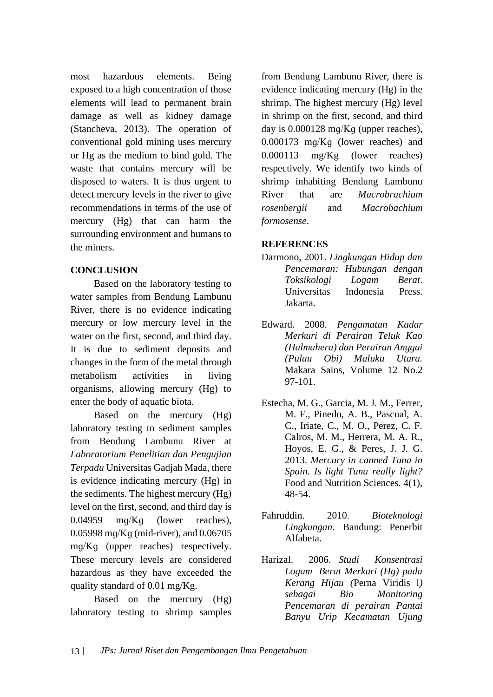most hazardous elements. Being exposed to a high concentration of those elements will lead to permanent brain damage as well as kidney damage (Stancheva, 2013). The operation of conventional gold mining uses mercury or Hg as the medium to bind gold. The waste that contains mercury will be disposed to waters. It is thus urgent to detect mercury levels in the river to give recommendations in terms of the use of mercury (Hg) that can harm the surrounding environment and humans to the miners.

## **CONCLUSION**

Based on the laboratory testing to water samples from Bendung Lambunu River, there is no evidence indicating mercury or low mercury level in the water on the first, second, and third day. It is due to sediment deposits and changes in the form of the metal through metabolism activities in living organisms, allowing mercury (Hg) to enter the body of aquatic biota.

Based on the mercury (Hg) laboratory testing to sediment samples from Bendung Lambunu River at *Laboratorium Penelitian dan Pengujian Terpadu* Universitas Gadjah Mada, there is evidence indicating mercury (Hg) in the sediments. The highest mercury (Hg) level on the first, second, and third day is 0.04959 mɡ/Kɡ (lower reaches), 0.05998 mɡ/Kɡ (mid-river), and 0.06705 mɡ/Kɡ (upper reaches) respectively. These mercury levels are considered hazardous as they have exceeded the quality standard of 0.01 mg/Kg.

Based on the mercury (Hg) laboratory testing to shrimp samples

from Bendung Lambunu River, there is evidence indicating mercury (Hg) in the shrimp. The highest mercury (Hg) level in shrimp on the first, second, and third day is 0.000128 mɡ/Kɡ (upper reaches), 0.000173 mɡ/Kɡ (lower reaches) and 0.000113 mg/Kg (lower reaches) respectively. We identify two kinds of shrimp inhabiting Bendung Lambunu River that are *Macrobrachium rosenbergii* and *Macrobachium formosense*.

### **REFERENCES**

- Darmono, 2001. *Lingkungan Hidup dan Pencemaran: Hubungan dengan Toksikologi Logam Berat*. Universitas Indonesia Press. Jakarta.
- Edward. 2008. *Pengamatan Kadar Merkuri di Perairan Teluk Kao (Halmahera) dan Perairan Anggai (Pulau Obi) Maluku Utara.* Makara Sains, Volume 12 No.2 97-101.
- Estecha, M. G., Garcia, M. J. M., Ferrer, M. F., Pinedo, A. B., Pascual, A. C., Iriate, C., M. O., Perez, C. F. Calros, M. M., Herrera, M. A. R., Hoyos, E. G., & Peres, J. J. G. 2013. *Mercury in canned Tuna in Spain. Is light Tuna really light?* Food and Nutrition Sciences. 4(1), 48-54.
- Fahruddin. 2010. *Bioteknologi Lingkungan*. Bandung: Penerbit Alfabeta.
- Harizal. 2006. *Studi Konsentrasi Logam Berat Merkuri (Hg) pada Kerang Hijau (*Perna Viridis l*) sebagai Bio Monitoring Pencemaran di perairan Pantai Banyu Urip Kecamatan Ujung*